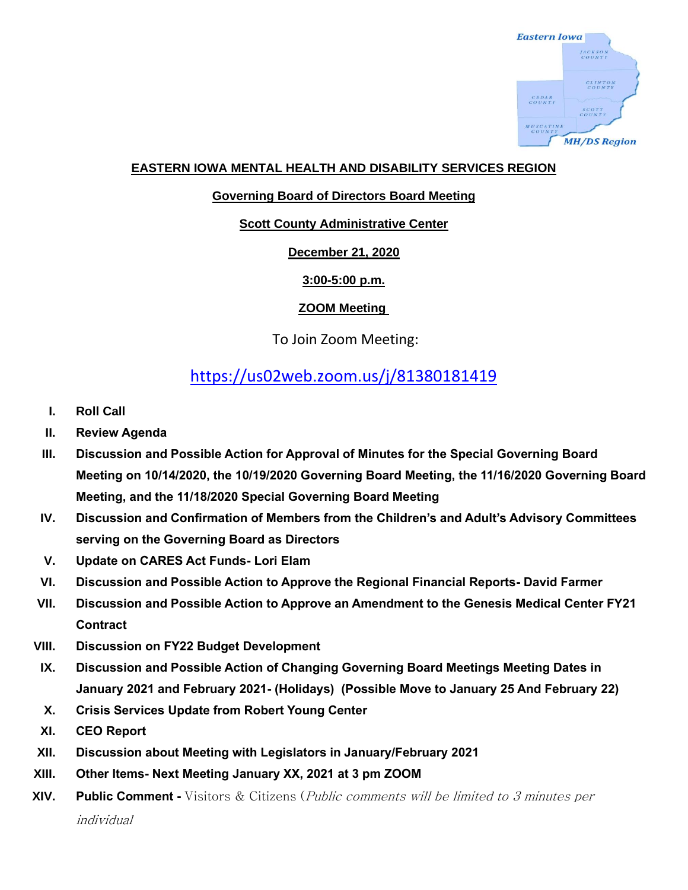

#### **EASTERN IOWA MENTAL HEALTH AND DISABILITY SERVICES REGION**

#### **Governing Board of Directors Board Meeting**

#### **Scott County Administrative Center**

#### **December 21, 2020**

#### **3:00-5:00 p.m.**

#### **ZOOM Meeting**

### To Join Zoom Meeting:

# <https://us02web.zoom.us/j/81380181419>

- **I. Roll Call**
- **II. Review Agenda**
- **III. Discussion and Possible Action for Approval of Minutes for the Special Governing Board Meeting on 10/14/2020, the 10/19/2020 Governing Board Meeting, the 11/16/2020 Governing Board Meeting, and the 11/18/2020 Special Governing Board Meeting**
- **IV. Discussion and Confirmation of Members from the Children's and Adult's Advisory Committees serving on the Governing Board as Directors**
- **V. Update on CARES Act Funds- Lori Elam**
- **VI. Discussion and Possible Action to Approve the Regional Financial Reports- David Farmer**
- **VII. Discussion and Possible Action to Approve an Amendment to the Genesis Medical Center FY21 Contract**
- **VIII. Discussion on FY22 Budget Development**
- **IX. Discussion and Possible Action of Changing Governing Board Meetings Meeting Dates in January 2021 and February 2021- (Holidays) (Possible Move to January 25 And February 22)**
- **X. Crisis Services Update from Robert Young Center**
- **XI. CEO Report**
- **XII. Discussion about Meeting with Legislators in January/February 2021**
- **XIII. Other Items- Next Meeting January XX, 2021 at 3 pm ZOOM**
- **XIV. Public Comment -** Visitors & Citizens (Public comments will be limited to 3 minutes per individual